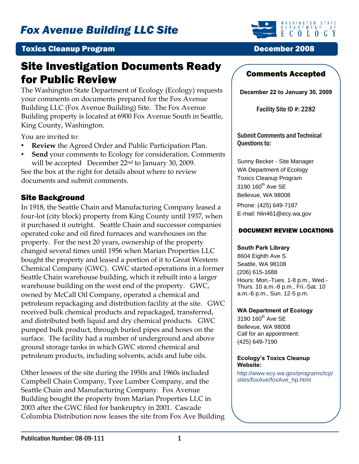

#### **Toxics Cleanup Program December 2008**

# Site Investigation Documents Ready for Public Review **Comments Accepted**

The Washington State Department of Ecology (Ecology) requests your comments on documents prepared for the Fox Avenue Building LLC (Fox Avenue Building) Site. The Fox Avenue Building property is located at 6900 Fox Avenue South in Seattle, King County, Washington.

You are invited to:

- **Review** the Agreed Order and Public Participation Plan.
- **Send** your comments to Ecology for consideration. Comments will be accepted December 22<sup>nd</sup> to January 30, 2009.

See the box at the right for details about where to review documents and submit comments.

#### Site Background

In 1918, the Seattle Chain and Manufacturing Company leased a four-lot (city block) property from King County until 1937, when it purchased it outright. Seattle Chain and successor companies operated coke and oil fired furnaces and warehouses on the property. For the next 20 years, ownership of the property changed several times until 1956 when Marian Properties LLC bought the property and leased a portion of it to Great Western Chemical Company (GWC). GWC started operations in a former Seattle Chain warehouse building, which it rebuilt into a larger warehouse building on the west end of the property. GWC, owned by McCall Oil Company, operated a chemical and petroleum repackaging and distribution facility at the site. GWC received bulk chemical products and repackaged, transferred, and distributed both liquid and dry chemical products. GWC pumped bulk product, through buried pipes and hoses on the surface. The facility had a number of underground and above ground storage tanks in which GWC stored chemical and petroleum products, including solvents, acids and lube oils.

Other lessees of the site during the 1950s and 1960s included Campbell Chain Company, Tyee Lumber Company, and the Seattle Chain and Manufacturing Company. Fox Avenue Building bought the property from Marian Properties LLC in 2003 after the GWC filed for bankruptcy in 2001. Cascade Columbia Distribution now leases the site from Fox Ave Building

**December 22 to January 30, 2009**

Facility Site ID #: 2282

Submit Comments and Technical Questions to:

Sunny Becker - Site Manager WA Department of Ecology Toxics Cleanup Program 3190 160<sup>th</sup> Ave SE Bellevue, WA 98008 Phone: (425) 649-7187 E-mail: hlin461@ecy.wa.gov

#### DOCUMENT REVIEW LOCATIONS

#### **South Park Library**

8604 Eighth Ave S. Seattle, WA 98108 (206) 615-1688 Hours: Mon.-Tues. 1-8 p.m., Wed.- Thurs. 10 a.m.-8 p.m., Fri.-Sat. 10 a.m.-6 p.m., Sun. 12-5 p.m.

#### **WA Department of Ecology**

 $3190$   $160$ <sup>th</sup> Ave SE Bellevue, WA 98008 Call for an appointment: (425) 649-7190

#### **Ecology's Toxics Cleanup Website:**

http://www.ecy.wa.gov/programs/tcp/ sites/foxAve/foxAve\_hp.html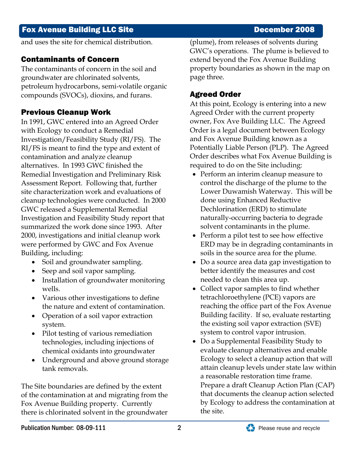## Fox Avenue Building LLC Site **December 2008**

and uses the site for chemical distribution.

## Contaminants of Concern

The contaminants of concern in the soil and groundwater are chlorinated solvents, petroleum hydrocarbons, semi-volatile organic compounds (SVOCs), dioxins, and furans.

# Previous Cleanup Work

In 1991, GWC entered into an Agreed Order with Ecology to conduct a Remedial Investigation/Feasibility Study (RI/FS). The RI/FS is meant to find the type and extent of contamination and analyze cleanup alternatives. In 1993 GWC finished the Remedial Investigation and Preliminary Risk Assessment Report. Following that, further site characterization work and evaluations of cleanup technologies were conducted. In 2000 GWC released a Supplemental Remedial Investigation and Feasibility Study report that summarized the work done since 1993. After 2000, investigations and initial cleanup work were performed by GWC and Fox Avenue Building, including:

- Soil and groundwater sampling.
- Seep and soil vapor sampling.
- Installation of groundwater monitoring wells.
- Various other investigations to define the nature and extent of contamination.
- Operation of a soil vapor extraction system.
- Pilot testing of various remediation technologies, including injections of chemical oxidants into groundwater
- Underground and above ground storage tank removals.

The Site boundaries are defined by the extent of the contamination at and migrating from the Fox Avenue Building property. Currently there is chlorinated solvent in the groundwater

(plume), from releases of solvents during GWC's operations. The plume is believed to extend beyond the Fox Avenue Building property boundaries as shown in the map on page three.

# Agreed Order

At this point, Ecology is entering into a new Agreed Order with the current property owner, Fox Ave Building LLC. The Agreed Order is a legal document between Ecology and Fox Avenue Building known as a Potentially Liable Person (PLP). The Agreed Order describes what Fox Avenue Building is required to do on the Site including:

- Perform an interim cleanup measure to control the discharge of the plume to the Lower Duwamish Waterway. This will be done using Enhanced Reductive Dechlorination (ERD) to stimulate naturally-occurring bacteria to degrade solvent contaminants in the plume.
- Perform a pilot test to see how effective ERD may be in degrading contaminants in soils in the source area for the plume.
- Do a source area data gap investigation to better identify the measures and cost needed to clean this area up.
- Collect vapor samples to find whether tetrachloroethylene (PCE) vapors are reaching the office part of the Fox Avenue Building facility. If so, evaluate restarting the existing soil vapor extraction (SVE) system to control vapor intrusion.
- Do a Supplemental Feasibility Study to evaluate cleanup alternatives and enable Ecology to select a cleanup action that will attain cleanup levels under state law within a reasonable restoration time frame. Prepare a draft Cleanup Action Plan (CAP) that documents the cleanup action selected by Ecology to address the contamination at the site.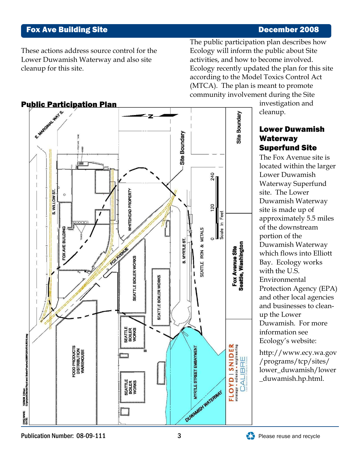## Fox Ave Building Site

#### December 2008

These actions address source control for the Lower Duwamish Waterway and also site cleanup for this site.

The public participation plan describes how Ecology recently updated the plan for this site Ecology will inform the public about Site activities, and how to become involved. according to the Model Toxics Control Act (MTCA). The plan is meant to promote community involvement during the Site



investigation and cleanup.

#### Lower Duwamish Waterway Superfund Site

The Fox Avenue site is located within the larger site is made up of approximately 5.5 miles Duwamish Waterway which flows into Elliott Protection Agency (EPA) and other local agencies information see Lower Duwamish Waterway Superfund site. The Lower Duwamish Waterway of the downstream portion of the Bay. Ecology works with the U.S. Environmental and businesses to cleanup the Lower Duwamish. For more Ecology's website:

http://www.ecy.wa.gov /programs/tcp/sites/ lower\_duwamish/lower \_duwamish.hp.html.

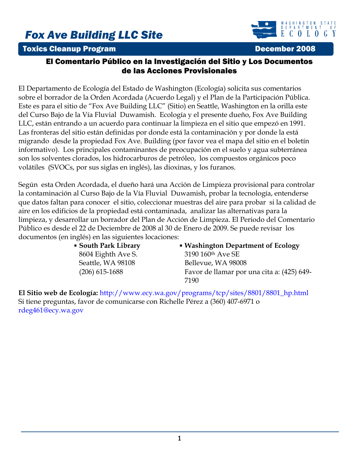# *Fox Ave Building LLC Site*

### **Toxics Cleanup Program December 2008**



#### El Comentario Público en la Investigación del Sitio y Los Documentos de las Acciones Provisionales

El Departamento de Ecología del Estado de Washington (Ecología) solicita sus comentarios sobre el borrador de la Orden Acordada (Acuerdo Legal) y el Plan de la Participación Pública. Este es para el sitio de "Fox Ave Building LLC" (Sitio) en Seattle, Washington en la orilla este del Curso Bajo de la Vía Fluvial Duwamish. Ecología y el presente dueño, Fox Ave Building LLC, están entrando a un acuerdo para continuar la limpieza en el sitio que empezó en 1991. Las fronteras del sitio están definidas por donde está la contaminación y por donde la está migrando desde la propiedad Fox Ave. Building (por favor vea el mapa del sitio en el boletín informativo). Los principales contaminantes de preocupación en el suelo y agua subterránea son los solventes clorados, los hidrocarburos de petróleo, los compuestos orgánicos poco volátiles (SVOCs, por sus siglas en inglés), las dioxinas, y los furanos.

Según esta Orden Acordada, el dueño hará una Acción de Limpieza provisional para controlar la contaminación al Curso Bajo de la Vía Fluvial Duwamish, probar la tecnología, entenderse que datos faltan para conocer el sitio, coleccionar muestras del aire para probar si la calidad de aire en los edificios de la propiedad está contaminada, analizar las alternativas para la limpieza, y desarrollar un borrador del Plan de Acción de Limpieza. El Periodo del Comentario Público es desde el 22 de Deciembre de 2008 al 30 de Enero de 2009. Se puede revisar los documentos (en inglés) en las siguientes locaciones:

> **South Park Library**  8604 Eighth Ave S. Seattle, WA 98108 (206) 615-1688

 **Washington Department of Ecology** 3190 160th Ave SE Bellevue, WA 98008 Favor de llamar por una cita a: (425) 649- 7190

**El Sitio web de Ecología:** [http://www.ecy.wa.gov/programs/tcp/sites/8801/8801\\_hp.html](http://www.ecy.wa.gov/programs/tcp/sites/8801/8801_hp.html) Si tiene preguntas, favor de comunicarse con Richelle Pérez a (360) 407-6971 o [rdeg461@ecy.wa.gov](mailto:rdeg461@ecy.wa.gov)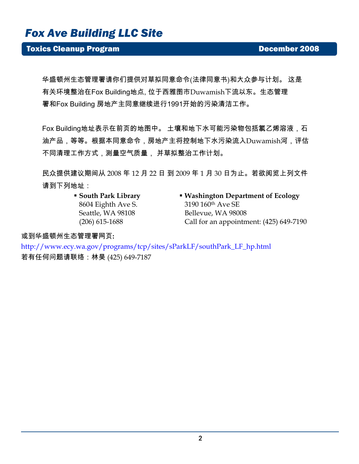# *Fox Ave Building LLC Site*

## **Toxics Cleanup Program December 2008**

华盛顿州生态管理署请你们提供对草拟同意命令(法律同意书)和大众参与计划。 这是 有关环境整治在Fox Building地点, 位于西雅图市Duwamish下流以东。生态管理 署和Fox Building 房地产主同意继续进行1991开始的污染清洁工作。

Fox Building地址表示在前页的地图中。 土壤和地下水可能污染物包括氯乙烯溶液,石 油产品,等等。根据本同意命令,房地产主将控制地下水污染流入Duwamish河,评估 不同清理工作方式,测量空气质量, 并草拟整治工作计划。

民众提供建议期间从 2008 年 12 月 22 日 到 2009 年 1 月 30 日为止。若欲阅览上列文件 请到下列地址:

- **South Park Library**  8604 Eighth Ave S. Seattle, WA 98108 (206) 615-1688
- **Washington Department of Ecology** 3190 160th Ave SE Bellevue, WA 98008 Call for an appointment: (425) 649-7190

或到华盛顿州生态管理署网页**:** 

http://www.ecy.wa.gov/programs/tcp/sites/sParkLF/southPark\_LF\_hp.html 若有任何问题请联络:林昊 (425) 649-7187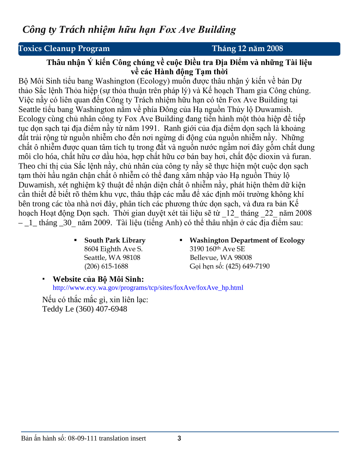# *Công ty Trách nhiệm hữu hạn Fox Ave Building*

# **ToxiToxics Cleanup Program Tháng 12 năm 2008**

### **Thâu nhận Ý kiến Công chúng về cuộc Điều tra Địa Điểm và những Tài liệu về các Hành động Tạm thời**

Bộ Môi Sinh tiểu bang Washington (Ecology) muốn được thâu nhận ý kiến về bản Dự thảo Sắc lệnh Thỏa hiệp (sự thỏa thuận trên pháp lý) và Kế hoạch Tham gia Công chúng. Việc nầy có liên quan đến Công ty Trách nhiệm hữu hạn có tên Fox Ave Building tại Seattle tiểu bang Washington nằm về phía Đông của Hạ nguồn Thủy lộ Duwamish. Ecology cùng chủ nhân công ty Fox Ave Building đang tiến hành một thỏa hiệp để tiếp tục dọn sạch tại địa điểm nầy từ năm 1991. Ranh giới của đia điểm dọn sạch là khoảng đất trải rộng từ nguồn nhiễm cho đến nơi ngừng di động của nguồn nhiễm nầy. Những chất ô nhiễm được quan tâm tích tụ trong đất và nguồn nước ngầm nơi đây gồm chất dung môi clo hóa, chất hữu cơ dầu hỏa, hợp chất hữu cơ bán bay hơi, chất độc dioxin và furan. Theo chỉ thị của Sắc lệnh nầy, chủ nhân của công ty nầy sẽ thực hiện một cuộc dọn sạch tạm thời hầu ngăn chận chất ô nhiễm có thể đang xâm nhập vào Hạ nguồn Thủy lộ Duwamish, xét nghiệm kỹ thuật để nhận diện chất ô nhiễm nầy, phát hiện thêm dữ kiện cần thiết để biết rõ thêm khu vực, thâu thập các mẫu để xác định môi trường không khí bên trong các tòa nhà nơi đây, phân tích các phương thức dọn sạch, và đưa ra bản Kế hoạch Hoạt động Dọn sạch. Thời gian duyệt xét tài liệu sẽ từ \_12\_ tháng \_22\_ năm 2008  $-1$  tháng 30 năm 2009. Tài liệu (tiếng Anh) có thể thâu nhận ở các địa điểm sau:

- **South Park Library**  8604 Eighth Ave S. Seattle, WA 98108 (206) 615-1688
- **Washington Department of Ecology** 3190 160th Ave SE Bellevue, WA 98008 Gọi hẹn số: (425) 649-7190

 **Website của Bộ Môi Sinh:** [http://www.ecy.wa.gov/programs/tcp/sites/foxAve/foxAve\\_hp.html](http://www.ecy.wa.gov/programs/tcp/sites/foxAve/foxAve_hp.html)

Nếu có thắc mắc gì, xin liên lạc: Teddy Le (360) 407-6948